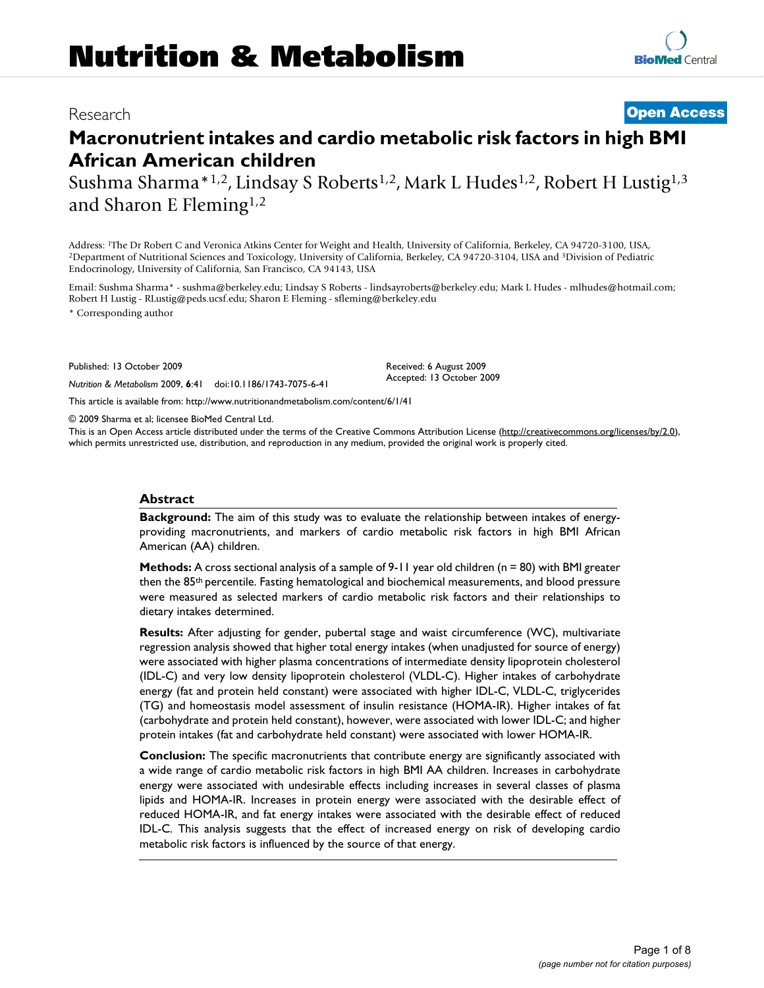# Research **[Open Access](http://www.biomedcentral.com/info/about/charter/)**

# **Macronutrient intakes and cardio metabolic risk factors in high BMI African American children**

Sushma Sharma\*1,2, Lindsay S Roberts1,2, Mark L Hudes1,2, Robert H Lustig1,3 and Sharon E Fleming1,2

Address: <sup>1</sup>The Dr Robert C and Veronica Atkins Center for Weight and Health, University of California, Berkeley, CA 94720-3100, USA, <sup>2</sup>Department of Nutritional Sciences and Toxicology, University of California, Berkeley Endocrinology, University of California, San Francisco, CA 94143, USA

Email: Sushma Sharma\* - sushma@berkeley.edu; Lindsay S Roberts - lindsayroberts@berkeley.edu; Mark L Hudes - mlhudes@hotmail.com; Robert H Lustig - RLustig@peds.ucsf.edu; Sharon E Fleming - sfleming@berkeley.edu

\* Corresponding author

Published: 13 October 2009

*Nutrition & Metabolism* 2009, **6**:41 doi:10.1186/1743-7075-6-41

Received: 6 August 2009 Accepted: 13 October 2009

[This article is available from: http://www.nutritionandmetabolism.com/content/6/1/41](http://www.nutritionandmetabolism.com/content/6/1/41)

© 2009 Sharma et al; licensee BioMed Central Ltd.

This is an Open Access article distributed under the terms of the Creative Commons Attribution License [\(http://creativecommons.org/licenses/by/2.0\)](http://creativecommons.org/licenses/by/2.0), which permits unrestricted use, distribution, and reproduction in any medium, provided the original work is properly cited.

#### **Abstract**

**Background:** The aim of this study was to evaluate the relationship between intakes of energyproviding macronutrients, and markers of cardio metabolic risk factors in high BMI African American (AA) children.

**Methods:** A cross sectional analysis of a sample of 9-11 year old children (n = 80) with BMI greater then the 85<sup>th</sup> percentile. Fasting hematological and biochemical measurements, and blood pressure were measured as selected markers of cardio metabolic risk factors and their relationships to dietary intakes determined.

**Results:** After adjusting for gender, pubertal stage and waist circumference (WC), multivariate regression analysis showed that higher total energy intakes (when unadjusted for source of energy) were associated with higher plasma concentrations of intermediate density lipoprotein cholesterol (IDL-C) and very low density lipoprotein cholesterol (VLDL-C). Higher intakes of carbohydrate energy (fat and protein held constant) were associated with higher IDL-C, VLDL-C, triglycerides (TG) and homeostasis model assessment of insulin resistance (HOMA-IR). Higher intakes of fat (carbohydrate and protein held constant), however, were associated with lower IDL-C; and higher protein intakes (fat and carbohydrate held constant) were associated with lower HOMA-IR.

**Conclusion:** The specific macronutrients that contribute energy are significantly associated with a wide range of cardio metabolic risk factors in high BMI AA children. Increases in carbohydrate energy were associated with undesirable effects including increases in several classes of plasma lipids and HOMA-IR. Increases in protein energy were associated with the desirable effect of reduced HOMA-IR, and fat energy intakes were associated with the desirable effect of reduced IDL-C. This analysis suggests that the effect of increased energy on risk of developing cardio metabolic risk factors is influenced by the source of that energy.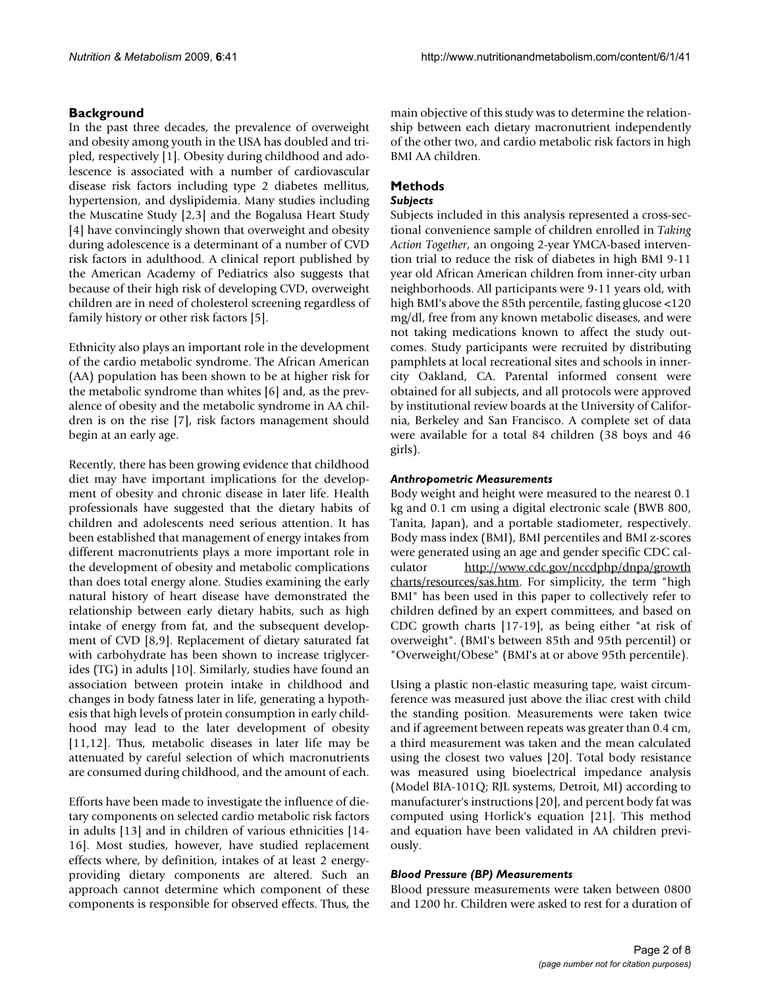# **Background**

In the past three decades, the prevalence of overweight and obesity among youth in the USA has doubled and tripled, respectively [1]. Obesity during childhood and adolescence is associated with a number of cardiovascular disease risk factors including type 2 diabetes mellitus, hypertension, and dyslipidemia. Many studies including the Muscatine Study [2,3] and the Bogalusa Heart Study [4] have convincingly shown that overweight and obesity during adolescence is a determinant of a number of CVD risk factors in adulthood. A clinical report published by the American Academy of Pediatrics also suggests that because of their high risk of developing CVD, overweight children are in need of cholesterol screening regardless of family history or other risk factors [5].

Ethnicity also plays an important role in the development of the cardio metabolic syndrome. The African American (AA) population has been shown to be at higher risk for the metabolic syndrome than whites [6] and, as the prevalence of obesity and the metabolic syndrome in AA children is on the rise [7], risk factors management should begin at an early age.

Recently, there has been growing evidence that childhood diet may have important implications for the development of obesity and chronic disease in later life. Health professionals have suggested that the dietary habits of children and adolescents need serious attention. It has been established that management of energy intakes from different macronutrients plays a more important role in the development of obesity and metabolic complications than does total energy alone. Studies examining the early natural history of heart disease have demonstrated the relationship between early dietary habits, such as high intake of energy from fat, and the subsequent development of CVD [8,9]. Replacement of dietary saturated fat with carbohydrate has been shown to increase triglycerides (TG) in adults [10]. Similarly, studies have found an association between protein intake in childhood and changes in body fatness later in life, generating a hypothesis that high levels of protein consumption in early childhood may lead to the later development of obesity [11,12]. Thus, metabolic diseases in later life may be attenuated by careful selection of which macronutrients are consumed during childhood, and the amount of each.

Efforts have been made to investigate the influence of dietary components on selected cardio metabolic risk factors in adults [13] and in children of various ethnicities [14- 16]. Most studies, however, have studied replacement effects where, by definition, intakes of at least 2 energyproviding dietary components are altered. Such an approach cannot determine which component of these components is responsible for observed effects. Thus, the main objective of this study was to determine the relationship between each dietary macronutrient independently of the other two, and cardio metabolic risk factors in high BMI AA children.

# **Methods**

## *Subjects*

Subjects included in this analysis represented a cross-sectional convenience sample of children enrolled in *Taking Action Together*, an ongoing 2-year YMCA-based intervention trial to reduce the risk of diabetes in high BMI 9-11 year old African American children from inner-city urban neighborhoods. All participants were 9-11 years old, with high BMI's above the 85th percentile, fasting glucose <120 mg/dl, free from any known metabolic diseases, and were not taking medications known to affect the study outcomes. Study participants were recruited by distributing pamphlets at local recreational sites and schools in innercity Oakland, CA. Parental informed consent were obtained for all subjects, and all protocols were approved by institutional review boards at the University of California, Berkeley and San Francisco. A complete set of data were available for a total 84 children (38 boys and 46 girls).

## *Anthropometric Measurements*

Body weight and height were measured to the nearest 0.1 kg and 0.1 cm using a digital electronic scale (BWB 800, Tanita, Japan), and a portable stadiometer, respectively. Body mass index (BMI), BMI percentiles and BMI z-scores were generated using an age and gender specific CDC calculator [http://www.cdc.gov/nccdphp/dnpa/growth](http://www.cdc.gov/nccdphp/dnpa/growthcharts/resources/sas.htm) [charts/resources/sas.htm](http://www.cdc.gov/nccdphp/dnpa/growthcharts/resources/sas.htm). For simplicity, the term "high BMI" has been used in this paper to collectively refer to children defined by an expert committees, and based on CDC growth charts [17-19], as being either "at risk of overweight". (BMI's between 85th and 95th percentil) or "Overweight/Obese" (BMI's at or above 95th percentile).

Using a plastic non-elastic measuring tape, waist circumference was measured just above the iliac crest with child the standing position. Measurements were taken twice and if agreement between repeats was greater than 0.4 cm, a third measurement was taken and the mean calculated using the closest two values [20]. Total body resistance was measured using bioelectrical impedance analysis (Model BIA-101Q; RJL systems, Detroit, MI) according to manufacturer's instructions [20], and percent body fat was computed using Horlick's equation [21]. This method and equation have been validated in AA children previously.

# *Blood Pressure (BP) Measurements*

Blood pressure measurements were taken between 0800 and 1200 hr. Children were asked to rest for a duration of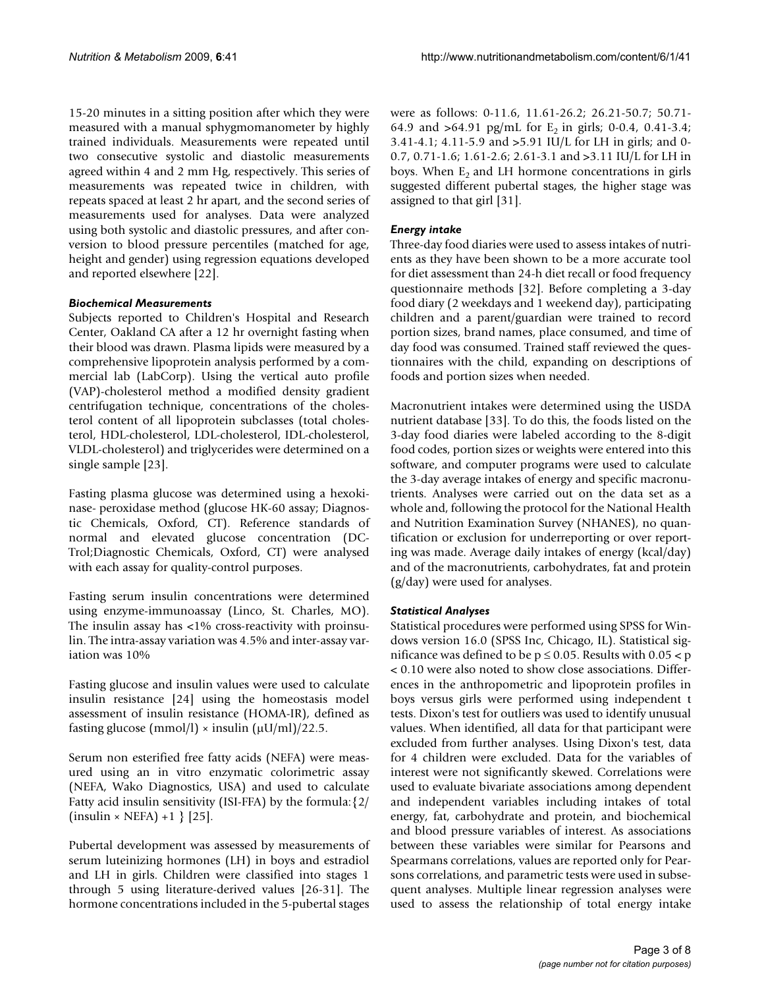15-20 minutes in a sitting position after which they were measured with a manual sphygmomanometer by highly trained individuals. Measurements were repeated until two consecutive systolic and diastolic measurements agreed within 4 and 2 mm Hg, respectively. This series of measurements was repeated twice in children, with repeats spaced at least 2 hr apart, and the second series of measurements used for analyses. Data were analyzed using both systolic and diastolic pressures, and after conversion to blood pressure percentiles (matched for age, height and gender) using regression equations developed and reported elsewhere [\[22\]](#page-7-0).

#### *Biochemical Measurements*

Subjects reported to Children's Hospital and Research Center, Oakland CA after a 12 hr overnight fasting when their blood was drawn. Plasma lipids were measured by a comprehensive lipoprotein analysis performed by a commercial lab (LabCorp). Using the vertical auto profile (VAP)-cholesterol method a modified density gradient centrifugation technique, concentrations of the cholesterol content of all lipoprotein subclasses (total cholesterol, HDL-cholesterol, LDL-cholesterol, IDL-cholesterol, VLDL-cholesterol) and triglycerides were determined on a single sample [23].

Fasting plasma glucose was determined using a hexokinase- peroxidase method (glucose HK-60 assay; Diagnostic Chemicals, Oxford, CT). Reference standards of normal and elevated glucose concentration (DC-Trol;Diagnostic Chemicals, Oxford, CT) were analysed with each assay for quality-control purposes.

Fasting serum insulin concentrations were determined using enzyme-immunoassay (Linco, St. Charles, MO). The insulin assay has <1% cross-reactivity with proinsulin. The intra-assay variation was 4.5% and inter-assay variation was 10%

Fasting glucose and insulin values were used to calculate insulin resistance [24] using the homeostasis model assessment of insulin resistance (HOMA-IR), defined as fasting glucose (mmol/l)  $\times$  insulin ( $\mu$ U/ml)/22.5.

Serum non esterified free fatty acids (NEFA) were measured using an in vitro enzymatic colorimetric assay (NEFA, Wako Diagnostics, USA) and used to calculate Fatty acid insulin sensitivity (ISI-FFA) by the formula:{2/  $(insulin \times NEFA) + 1$   $[25]$ .

Pubertal development was assessed by measurements of serum luteinizing hormones (LH) in boys and estradiol and LH in girls. Children were classified into stages 1 through 5 using literature-derived values [26-31]. The hormone concentrations included in the 5-pubertal stages

were as follows: 0-11.6, 11.61-26.2; 26.21-50.7; 50.71- 64.9 and  $>64.91$  pg/mL for E<sub>2</sub> in girls; 0-0.4, 0.41-3.4; 3.41-4.1; 4.11-5.9 and >5.91 IU/L for LH in girls; and 0- 0.7, 0.71-1.6; 1.61-2.6; 2.61-3.1 and >3.11 IU/L for LH in boys. When  $E<sub>2</sub>$  and LH hormone concentrations in girls suggested different pubertal stages, the higher stage was assigned to that girl [31].

#### *Energy intake*

Three-day food diaries were used to assess intakes of nutrients as they have been shown to be a more accurate tool for diet assessment than 24-h diet recall or food frequency questionnaire methods [32]. Before completing a 3-day food diary (2 weekdays and 1 weekend day), participating children and a parent/guardian were trained to record portion sizes, brand names, place consumed, and time of day food was consumed. Trained staff reviewed the questionnaires with the child, expanding on descriptions of foods and portion sizes when needed.

Macronutrient intakes were determined using the USDA nutrient database [33]. To do this, the foods listed on the 3-day food diaries were labeled according to the 8-digit food codes, portion sizes or weights were entered into this software, and computer programs were used to calculate the 3-day average intakes of energy and specific macronutrients. Analyses were carried out on the data set as a whole and, following the protocol for the National Health and Nutrition Examination Survey (NHANES), no quantification or exclusion for underreporting or over reporting was made. Average daily intakes of energy (kcal/day) and of the macronutrients, carbohydrates, fat and protein (g/day) were used for analyses.

#### *Statistical Analyses*

Statistical procedures were performed using SPSS for Windows version 16.0 (SPSS Inc, Chicago, IL). Statistical significance was defined to be  $p \le 0.05$ . Results with  $0.05 < p$ < 0.10 were also noted to show close associations. Differences in the anthropometric and lipoprotein profiles in boys versus girls were performed using independent t tests. Dixon's test for outliers was used to identify unusual values. When identified, all data for that participant were excluded from further analyses. Using Dixon's test, data for 4 children were excluded. Data for the variables of interest were not significantly skewed. Correlations were used to evaluate bivariate associations among dependent and independent variables including intakes of total energy, fat, carbohydrate and protein, and biochemical and blood pressure variables of interest. As associations between these variables were similar for Pearsons and Spearmans correlations, values are reported only for Pearsons correlations, and parametric tests were used in subsequent analyses. Multiple linear regression analyses were used to assess the relationship of total energy intake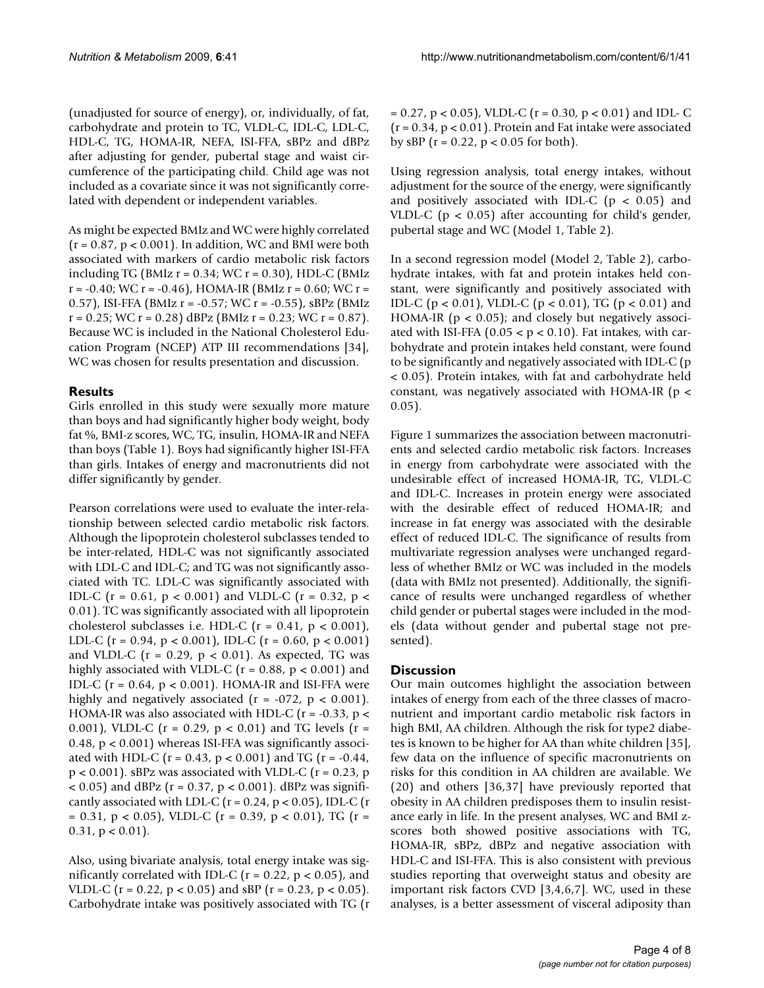(unadjusted for source of energy), or, individually, of fat, carbohydrate and protein to TC, VLDL-C, IDL-C, LDL-C, HDL-C, TG, HOMA-IR, NEFA, ISI-FFA, sBPz and dBPz after adjusting for gender, pubertal stage and waist circumference of the participating child. Child age was not included as a covariate since it was not significantly correlated with dependent or independent variables.

As might be expected BMIz and WC were highly correlated  $(r = 0.87, p < 0.001)$ . In addition, WC and BMI were both associated with markers of cardio metabolic risk factors including TG (BMIz  $r = 0.34$ ; WC  $r = 0.30$ ), HDL-C (BMIz  $r = -0.40$ ; WC  $r = -0.46$ ), HOMA-IR (BMIz  $r = 0.60$ ; WC  $r =$ 0.57), ISI-FFA (BMIz r = -0.57; WC r = -0.55), sBPz (BMIz  $r = 0.25$ ; WC  $r = 0.28$ ) dBPz (BMIz  $r = 0.23$ ; WC  $r = 0.87$ ). Because WC is included in the National Cholesterol Education Program (NCEP) ATP III recommendations [34], WC was chosen for results presentation and discussion.

## **Results**

Girls enrolled in this study were sexually more mature than boys and had significantly higher body weight, body fat %, BMI-z scores, WC, TG, insulin, HOMA-IR and NEFA than boys (Table 1). Boys had significantly higher ISI-FFA than girls. Intakes of energy and macronutrients did not differ significantly by gender.

Pearson correlations were used to evaluate the inter-relationship between selected cardio metabolic risk factors. Although the lipoprotein cholesterol subclasses tended to be inter-related, HDL-C was not significantly associated with LDL-C and IDL-C; and TG was not significantly associated with TC. LDL-C was significantly associated with IDL-C ( $r = 0.61$ ,  $p < 0.001$ ) and VLDL-C ( $r = 0.32$ ,  $p <$ 0.01). TC was significantly associated with all lipoprotein cholesterol subclasses i.e. HDL-C ( $r = 0.41$ ,  $p < 0.001$ ), LDL-C ( $r = 0.94$ ,  $p < 0.001$ ), IDL-C ( $r = 0.60$ ,  $p < 0.001$ ) and VLDL-C ( $r = 0.29$ ,  $p < 0.01$ ). As expected, TG was highly associated with VLDL-C ( $r = 0.88$ ,  $p < 0.001$ ) and IDL-C ( $r = 0.64$ ,  $p < 0.001$ ). HOMA-IR and ISI-FFA were highly and negatively associated ( $r = -072$ ,  $p < 0.001$ ). HOMA-IR was also associated with HDL-C ( $r = -0.33$ ,  $p <$ 0.001), VLDL-C ( $r = 0.29$ ,  $p < 0.01$ ) and TG levels ( $r =$ 0.48, p < 0.001) whereas ISI-FFA was significantly associated with HDL-C ( $r = 0.43$ ,  $p < 0.001$ ) and TG ( $r = -0.44$ ,  $p < 0.001$ ). sBPz was associated with VLDL-C ( $r = 0.23$ ,  $p$ )  $(0.05)$  and dBPz (r = 0.37, p < 0.001). dBPz was significantly associated with LDL-C ( $r = 0.24$ ,  $p < 0.05$ ), IDL-C ( $r = 0.24$  $= 0.31$ , p < 0.05), VLDL-C (r = 0.39, p < 0.01), TG (r =  $0.31, p < 0.01$ ).

Also, using bivariate analysis, total energy intake was significantly correlated with IDL-C ( $r = 0.22$ ,  $p < 0.05$ ), and VLDL-C ( $r = 0.22$ ,  $p < 0.05$ ) and sBP ( $r = 0.23$ ,  $p < 0.05$ ). Carbohydrate intake was positively associated with TG (r  $= 0.27$ , p < 0.05), VLDL-C (r = 0.30, p < 0.01) and IDL-C  $(r = 0.34, p < 0.01)$ . Protein and Fat intake were associated by sBP ( $r = 0.22$ ,  $p < 0.05$  for both).

Using regression analysis, total energy intakes, without adjustment for the source of the energy, were significantly and positively associated with IDL-C ( $p < 0.05$ ) and VLDL-C ( $p < 0.05$ ) after accounting for child's gender, pubertal stage and WC (Model 1, Table 2).

In a second regression model (Model 2, Table 2), carbohydrate intakes, with fat and protein intakes held constant, were significantly and positively associated with IDL-C ( $p < 0.01$ ), VLDL-C ( $p < 0.01$ ), TG ( $p < 0.01$ ) and HOMA-IR ( $p < 0.05$ ); and closely but negatively associated with ISI-FFA ( $0.05 < p < 0.10$ ). Fat intakes, with carbohydrate and protein intakes held constant, were found to be significantly and negatively associated with IDL-C (p < 0.05). Protein intakes, with fat and carbohydrate held constant, was negatively associated with HOMA-IR ( $p <$ 0.05).

Figure 1 summarizes the association between macronutrients and selected cardio metabolic risk factors. Increases in energy from carbohydrate were associated with the undesirable effect of increased HOMA-IR, TG, VLDL-C and IDL-C. Increases in protein energy were associated with the desirable effect of reduced HOMA-IR; and increase in fat energy was associated with the desirable effect of reduced IDL-C. The significance of results from multivariate regression analyses were unchanged regardless of whether BMIz or WC was included in the models (data with BMIz not presented). Additionally, the significance of results were unchanged regardless of whether child gender or pubertal stages were included in the models (data without gender and pubertal stage not presented).

#### **Discussion**

Our main outcomes highlight the association between intakes of energy from each of the three classes of macronutrient and important cardio metabolic risk factors in high BMI, AA children. Although the risk for type2 diabetes is known to be higher for AA than white children [35], few data on the influence of specific macronutrients on risks for this condition in AA children are available. We (20) and others [36,37] have previously reported that obesity in AA children predisposes them to insulin resistance early in life. In the present analyses, WC and BMI zscores both showed positive associations with TG, HOMA-IR, sBPz, dBPz and negative association with HDL-C and ISI-FFA. This is also consistent with previous studies reporting that overweight status and obesity are important risk factors CVD [3,4,6,7]. WC, used in these analyses, is a better assessment of visceral adiposity than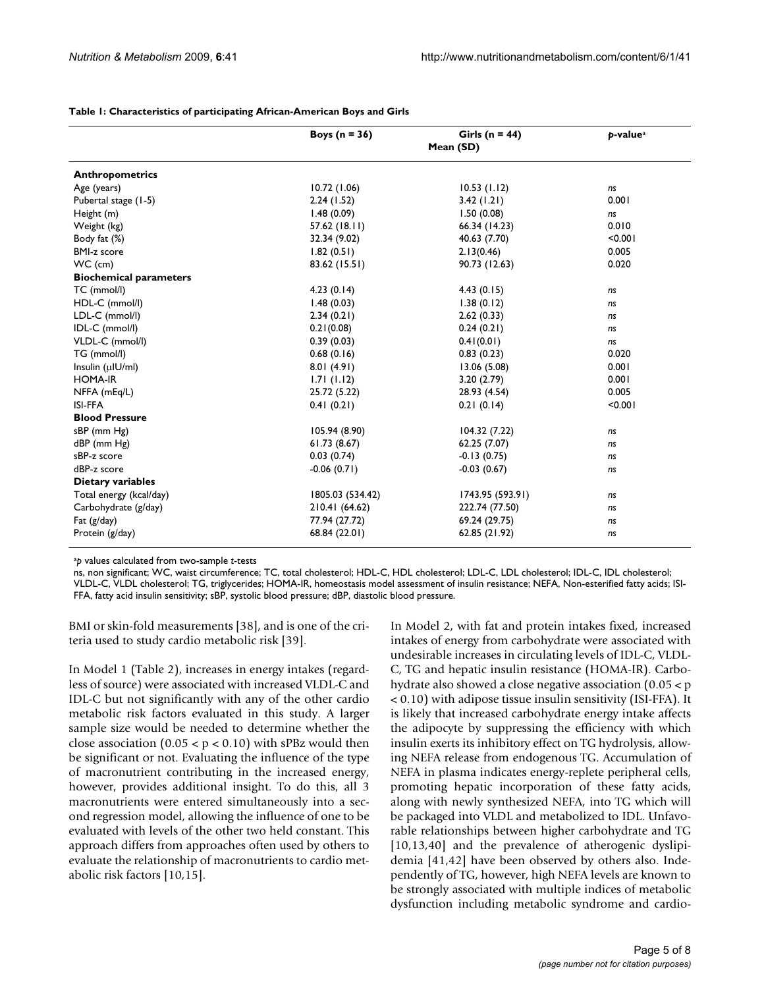|                               | Boys $(n = 36)$  | Girls ( $n = 44$ ) | <b><i>b</i>-value</b> <sup>a</sup> |
|-------------------------------|------------------|--------------------|------------------------------------|
|                               |                  |                    |                                    |
| <b>Anthropometrics</b>        |                  |                    |                                    |
| Age (years)                   | 10.72(1.06)      | 10.53(1.12)        | ns                                 |
| Pubertal stage (1-5)          | 2.24(1.52)       | 3.42(1.21)         | 0.001                              |
| Height (m)                    | 1.48(0.09)       | 1.50(0.08)         | ns                                 |
| Weight (kg)                   | 57.62(18.11)     | 66.34 (14.23)      | 0.010                              |
| Body fat (%)                  | 32.34 (9.02)     | 40.63 (7.70)       | < 0.001                            |
| <b>BMI-z score</b>            | 1.82(0.51)       | 2.13(0.46)         | 0.005                              |
| $WC$ (cm)                     | 83.62 (15.51)    | 90.73 (12.63)      | 0.020                              |
| <b>Biochemical parameters</b> |                  |                    |                                    |
| TC (mmol/l)                   | 4.23(0.14)       | 4.43(0.15)         | ns                                 |
| HDL-C (mmol/l)                | 1.48(0.03)       | 1.38(0.12)         | ns                                 |
| LDL-C (mmol/l)                | 2.34(0.21)       | 2.62(0.33)         | ns                                 |
| IDL-C (mmol/l)                | 0.21(0.08)       | 0.24(0.21)         | ns                                 |
| VLDL-C (mmol/l)               | 0.39(0.03)       | 0.41(0.01)         | ns                                 |
| TG (mmol/l)                   | 0.68(0.16)       | 0.83(0.23)         | 0.020                              |
| Insulin $(\mu U/m)$           | 8.01(4.91)       | 13.06 (5.08)       | 0.001                              |
| <b>HOMA-IR</b>                | 1.71(1.12)       | 3.20(2.79)         | 0.001                              |
| NFFA (mEq/L)                  | 25.72 (5.22)     | 28.93 (4.54)       | 0.005                              |
| <b>ISI-FFA</b>                | 0.41(0.21)       | 0.21(0.14)         | < 0.001                            |
| <b>Blood Pressure</b>         |                  |                    |                                    |
| sBP (mm Hg)                   | 105.94 (8.90)    | 104.32 (7.22)      | ns                                 |
| dBP (mm Hg)                   | 61.73(8.67)      | 62.25 (7.07)       | ns                                 |
| sBP-z score                   | 0.03(0.74)       | $-0.13(0.75)$      | ns                                 |
| dBP-z score                   | $-0.06(0.71)$    | $-0.03(0.67)$      | ns                                 |
| <b>Dietary variables</b>      |                  |                    |                                    |
| Total energy (kcal/day)       | 1805.03 (534.42) | 1743.95 (593.91)   | ns                                 |
| Carbohydrate (g/day)          | 210.41 (64.62)   | 222.74 (77.50)     | ns                                 |
| Fat $(g/day)$                 | 77.94 (27.72)    | 69.24 (29.75)      | ns                                 |
| Protein (g/day)               | 68.84 (22.01)    | 62.85 (21.92)      | ns                                 |

**Table 1: Characteristics of participating African-American Boys and Girls**

<sup>a</sup>*p* values calculated from two-sample *t*-tests

ns, non significant; WC, waist circumference; TC, total cholesterol; HDL-C, HDL cholesterol; LDL-C, LDL cholesterol; IDL-C, IDL cholesterol; VLDL-C, VLDL cholesterol; TG, triglycerides; HOMA-IR, homeostasis model assessment of insulin resistance; NEFA, Non-esterified fatty acids; ISI-FFA, fatty acid insulin sensitivity; sBP, systolic blood pressure; dBP, diastolic blood pressure.

BMI or skin-fold measurements [38], and is one of the criteria used to study cardio metabolic risk [39].

In Model 1 (Table 2), increases in energy intakes (regardless of source) were associated with increased VLDL-C and IDL-C but not significantly with any of the other cardio metabolic risk factors evaluated in this study. A larger sample size would be needed to determine whether the close association  $(0.05 < p < 0.10)$  with sPBz would then be significant or not. Evaluating the influence of the type of macronutrient contributing in the increased energy, however, provides additional insight. To do this, all 3 macronutrients were entered simultaneously into a second regression model, allowing the influence of one to be evaluated with levels of the other two held constant. This approach differs from approaches often used by others to evaluate the relationship of macronutrients to cardio metabolic risk factors [10,15].

In Model 2, with fat and protein intakes fixed, increased intakes of energy from carbohydrate were associated with undesirable increases in circulating levels of IDL-C, VLDL-C, TG and hepatic insulin resistance (HOMA-IR). Carbohydrate also showed a close negative association (0.05 < p < 0.10) with adipose tissue insulin sensitivity (ISI-FFA). It is likely that increased carbohydrate energy intake affects the adipocyte by suppressing the efficiency with which insulin exerts its inhibitory effect on TG hydrolysis, allowing NEFA release from endogenous TG. Accumulation of NEFA in plasma indicates energy-replete peripheral cells, promoting hepatic incorporation of these fatty acids, along with newly synthesized NEFA, into TG which will be packaged into VLDL and metabolized to IDL. Unfavorable relationships between higher carbohydrate and TG [10,13,40] and the prevalence of atherogenic dyslipidemia [41,42] have been observed by others also. Independently of TG, however, high NEFA levels are known to be strongly associated with multiple indices of metabolic dysfunction including metabolic syndrome and cardio-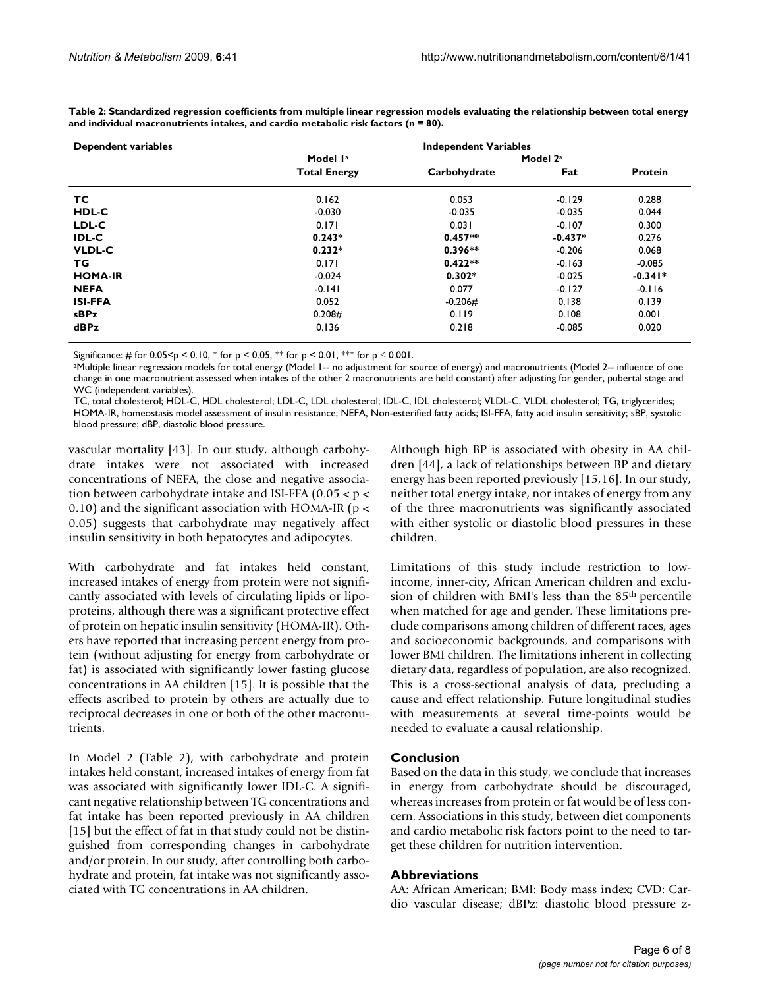| <b>Dependent variables</b> | <b>Independent Variables</b> |              |                      |                |
|----------------------------|------------------------------|--------------|----------------------|----------------|
|                            | Model la                     |              | Model 2 <sup>a</sup> |                |
|                            | <b>Total Energy</b>          | Carbohydrate | Fat                  | <b>Protein</b> |
| ТC                         | 0.162                        | 0.053        | $-0.129$             | 0.288          |
| <b>HDL-C</b>               | $-0.030$                     | $-0.035$     | $-0.035$             | 0.044          |
| LDL-C                      | 0.171                        | 0.031        | $-0.107$             | 0.300          |
| <b>IDL-C</b>               | $0.243*$                     | $0.457**$    | $-0.437*$            | 0.276          |
| <b>VLDL-C</b>              | $0.232*$                     | $0.396**$    | $-0.206$             | 0.068          |
| ТG                         | 0.171                        | $0.422**$    | $-0.163$             | $-0.085$       |
| <b>HOMA-IR</b>             | $-0.024$                     | $0.302*$     | $-0.025$             | $-0.341*$      |
| <b>NEFA</b>                | $-0.141$                     | 0.077        | $-0.127$             | $-0.116$       |
| <b>ISI-FFA</b>             | 0.052                        | $-0.206#$    | 0.138                | 0.139          |
| sBPz                       | 0.208#                       | 0.119        | 0.108                | 0.001          |
| dBPz                       | 0.136                        | 0.218        | $-0.085$             | 0.020          |

**Table 2: Standardized regression coefficients from multiple linear regression models evaluating the relationship between total energy and individual macronutrients intakes, and cardio metabolic risk factors (n = 80).**

Significance: # for  $0.05 < p < 0.10$ , \* for  $p < 0.05$ , \*\* for  $p < 0.01$ , \*\* for  $p \le 0.001$ .

aMultiple linear regression models for total energy (Model 1-- no adjustment for source of energy) and macronutrients (Model 2-- influence of one change in one macronutrient assessed when intakes of the other 2 macronutrients are held constant) after adjusting for gender, pubertal stage and WC (independent variables).

TC, total cholesterol; HDL-C, HDL cholesterol; LDL-C, LDL cholesterol; IDL-C, IDL cholesterol; VLDL-C, VLDL cholesterol; TG, triglycerides; HOMA-IR, homeostasis model assessment of insulin resistance; NEFA, Non-esterified fatty acids; ISI-FFA, fatty acid insulin sensitivity; sBP, systolic blood pressure; dBP, diastolic blood pressure.

vascular mortality [43]. In our study, although carbohydrate intakes were not associated with increased concentrations of NEFA, the close and negative association between carbohydrate intake and ISI-FFA (0.05 < p < 0.10) and the significant association with HOMA-IR ( $p <$ 0.05) suggests that carbohydrate may negatively affect insulin sensitivity in both hepatocytes and adipocytes.

With carbohydrate and fat intakes held constant, increased intakes of energy from protein were not significantly associated with levels of circulating lipids or lipoproteins, although there was a significant protective effect of protein on hepatic insulin sensitivity (HOMA-IR). Others have reported that increasing percent energy from protein (without adjusting for energy from carbohydrate or fat) is associated with significantly lower fasting glucose concentrations in AA children [15]. It is possible that the effects ascribed to protein by others are actually due to reciprocal decreases in one or both of the other macronutrients.

In Model 2 (Table 2), with carbohydrate and protein intakes held constant, increased intakes of energy from fat was associated with significantly lower IDL-C. A significant negative relationship between TG concentrations and fat intake has been reported previously in AA children [15] but the effect of fat in that study could not be distinguished from corresponding changes in carbohydrate and/or protein. In our study, after controlling both carbohydrate and protein, fat intake was not significantly associated with TG concentrations in AA children.

Although high BP is associated with obesity in AA children [44], a lack of relationships between BP and dietary energy has been reported previously [15,16]. In our study, neither total energy intake, nor intakes of energy from any of the three macronutrients was significantly associated with either systolic or diastolic blood pressures in these children.

Limitations of this study include restriction to lowincome, inner-city, African American children and exclusion of children with BMI's less than the 85th percentile when matched for age and gender. These limitations preclude comparisons among children of different races, ages and socioeconomic backgrounds, and comparisons with lower BMI children. The limitations inherent in collecting dietary data, regardless of population, are also recognized. This is a cross-sectional analysis of data, precluding a cause and effect relationship. Future longitudinal studies with measurements at several time-points would be needed to evaluate a causal relationship.

#### **Conclusion**

Based on the data in this study, we conclude that increases in energy from carbohydrate should be discouraged, whereas increases from protein or fat would be of less concern. Associations in this study, between diet components and cardio metabolic risk factors point to the need to target these children for nutrition intervention.

#### **Abbreviations**

AA: African American; BMI: Body mass index; CVD: Cardio vascular disease; dBPz: diastolic blood pressure z-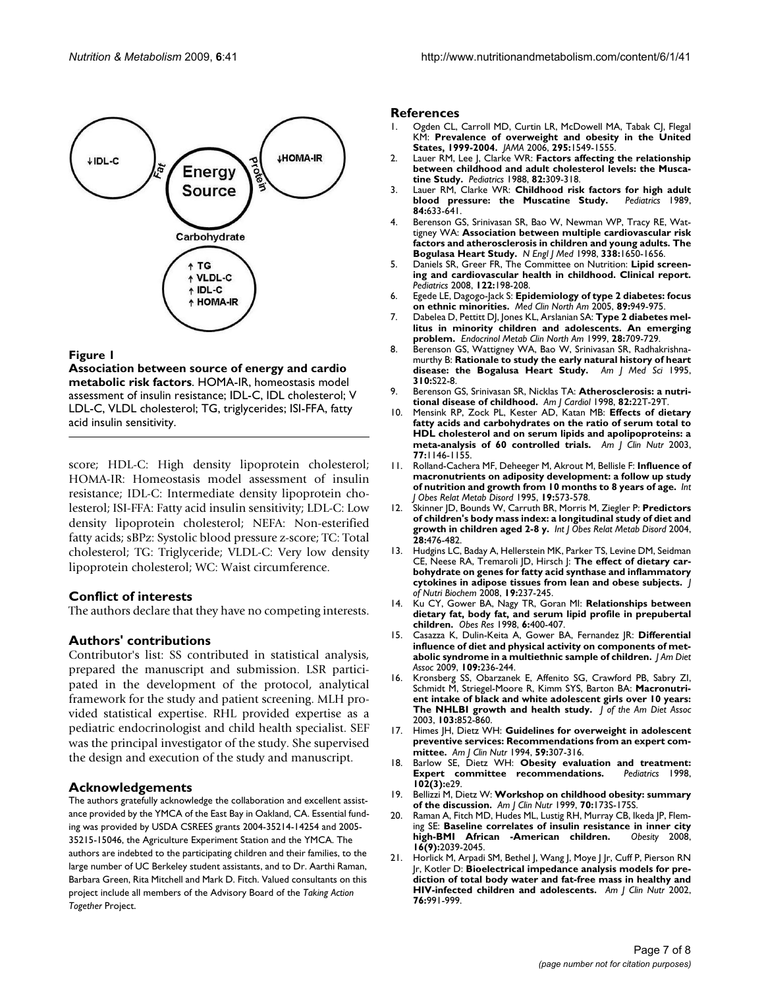

## Figure 1

**Association between source of energy and cardio metabolic risk factors**. HOMA-IR, homeostasis model assessment of insulin resistance; IDL-C, IDL cholesterol; V LDL-C, VLDL cholesterol; TG, triglycerides; ISI-FFA, fatty acid insulin sensitivity.

score; HDL-C: High density lipoprotein cholesterol; HOMA-IR: Homeostasis model assessment of insulin resistance; IDL-C: Intermediate density lipoprotein cholesterol; ISI-FFA: Fatty acid insulin sensitivity; LDL-C: Low density lipoprotein cholesterol; NEFA: Non-esterified fatty acids; sBPz: Systolic blood pressure z-score; TC: Total cholesterol; TG: Triglyceride; VLDL-C: Very low density lipoprotein cholesterol; WC: Waist circumference.

#### **Conflict of interests**

The authors declare that they have no competing interests.

#### **Authors' contributions**

Contributor's list: SS contributed in statistical analysis, prepared the manuscript and submission. LSR participated in the development of the protocol, analytical framework for the study and patient screening. MLH provided statistical expertise. RHL provided expertise as a pediatric endocrinologist and child health specialist. SEF was the principal investigator of the study. She supervised the design and execution of the study and manuscript.

#### **Acknowledgements**

The authors gratefully acknowledge the collaboration and excellent assistance provided by the YMCA of the East Bay in Oakland, CA. Essential funding was provided by USDA CSREES grants 2004-35214-14254 and 2005- 35215-15046, the Agriculture Experiment Station and the YMCA. The authors are indebted to the participating children and their families, to the large number of UC Berkeley student assistants, and to Dr. Aarthi Raman, Barbara Green, Rita Mitchell and Mark D. Fitch. Valued consultants on this project include all members of the Advisory Board of the *Taking Action Together* Project.

#### **References**

- 1. Ogden CL, Carroll MD, Curtin LR, McDowell MA, Tabak CJ, Flegal KM: **[Prevalence of overweight and obesity in the United](http://www.ncbi.nlm.nih.gov/entrez/query.fcgi?cmd=Retrieve&db=PubMed&dopt=Abstract&list_uids=16595758) [States, 1999-2004.](http://www.ncbi.nlm.nih.gov/entrez/query.fcgi?cmd=Retrieve&db=PubMed&dopt=Abstract&list_uids=16595758)** *JAMA* 2006, **295:**1549-1555.
- 2. Lauer RM, Lee J, Clarke WR: **[Factors affecting the relationship](http://www.ncbi.nlm.nih.gov/entrez/query.fcgi?cmd=Retrieve&db=PubMed&dopt=Abstract&list_uids=3405659) [between childhood and adult cholesterol levels: the Musca](http://www.ncbi.nlm.nih.gov/entrez/query.fcgi?cmd=Retrieve&db=PubMed&dopt=Abstract&list_uids=3405659)[tine Study.](http://www.ncbi.nlm.nih.gov/entrez/query.fcgi?cmd=Retrieve&db=PubMed&dopt=Abstract&list_uids=3405659)** *Pediatrics* 1988, **82:**309-318.
- 3. Lauer RM, Clarke WR: **[Childhood risk factors for high adult](http://www.ncbi.nlm.nih.gov/entrez/query.fcgi?cmd=Retrieve&db=PubMed&dopt=Abstract&list_uids=2780125) [blood pressure: the Muscatine Study.](http://www.ncbi.nlm.nih.gov/entrez/query.fcgi?cmd=Retrieve&db=PubMed&dopt=Abstract&list_uids=2780125)** *Pediatrics* 1989, **84:**633-641.
- 4. Berenson GS, Srinivasan SR, Bao W, Newman WP, Tracy RE, Wattigney WA: **[Association between multiple cardiovascular risk](http://www.ncbi.nlm.nih.gov/entrez/query.fcgi?cmd=Retrieve&db=PubMed&dopt=Abstract&list_uids=9614255) [factors and atherosclerosis in children and young adults. The](http://www.ncbi.nlm.nih.gov/entrez/query.fcgi?cmd=Retrieve&db=PubMed&dopt=Abstract&list_uids=9614255) [Bogulasa Heart Study.](http://www.ncbi.nlm.nih.gov/entrez/query.fcgi?cmd=Retrieve&db=PubMed&dopt=Abstract&list_uids=9614255)** *N Engl J Med* 1998, **338:**1650-1656.
- 5. Daniels SR, Greer FR, The Committee on Nutrition: **[Lipid screen](http://www.ncbi.nlm.nih.gov/entrez/query.fcgi?cmd=Retrieve&db=PubMed&dopt=Abstract&list_uids=18596007)[ing and cardiovascular health in childhood. Clinical report.](http://www.ncbi.nlm.nih.gov/entrez/query.fcgi?cmd=Retrieve&db=PubMed&dopt=Abstract&list_uids=18596007)** *Pediatrics* 2008, **122:**198-208.
- 6. Egede LE, Dagogo-Jack S: **[Epidemiology of type 2 diabetes: focus](http://www.ncbi.nlm.nih.gov/entrez/query.fcgi?cmd=Retrieve&db=PubMed&dopt=Abstract&list_uids=16129107) [on ethnic minorities.](http://www.ncbi.nlm.nih.gov/entrez/query.fcgi?cmd=Retrieve&db=PubMed&dopt=Abstract&list_uids=16129107)** *Med Clin North Am* 2005, **89:**949-975.
- 7. Dabelea D, Pettitt DJ, Jones KL, Arslanian SA: **[Type 2 diabetes mel](http://www.ncbi.nlm.nih.gov/entrez/query.fcgi?cmd=Retrieve&db=PubMed&dopt=Abstract&list_uids=10609116)[litus in minority children and adolescents. An emerging](http://www.ncbi.nlm.nih.gov/entrez/query.fcgi?cmd=Retrieve&db=PubMed&dopt=Abstract&list_uids=10609116) [problem.](http://www.ncbi.nlm.nih.gov/entrez/query.fcgi?cmd=Retrieve&db=PubMed&dopt=Abstract&list_uids=10609116)** *Endocrinol Metab Clin North Am* 1999, **28:**709-729.
- 8. Berenson GS, Wattigney WA, Bao W, Srinivasan SR, Radhakrishnamurthy B: **[Rationale to study the early natural history of heart](http://www.ncbi.nlm.nih.gov/entrez/query.fcgi?cmd=Retrieve&db=PubMed&dopt=Abstract&list_uids=7503119) [disease: the Bogalusa Heart Study.](http://www.ncbi.nlm.nih.gov/entrez/query.fcgi?cmd=Retrieve&db=PubMed&dopt=Abstract&list_uids=7503119)** *Am J Med Sci* 1995, **310:**S22-8.
- 9. Berenson GS, Srinivasan SR, Nicklas TA: **[Atherosclerosis: a nutri](http://www.ncbi.nlm.nih.gov/entrez/query.fcgi?cmd=Retrieve&db=PubMed&dopt=Abstract&list_uids=9860370)[tional disease of childhood.](http://www.ncbi.nlm.nih.gov/entrez/query.fcgi?cmd=Retrieve&db=PubMed&dopt=Abstract&list_uids=9860370)** *Am J Cardiol* 1998, **82:**22T-29T.
- 10. Mensink RP, Zock PL, Kester AD, Katan MB: **[Effects of dietary](http://www.ncbi.nlm.nih.gov/entrez/query.fcgi?cmd=Retrieve&db=PubMed&dopt=Abstract&list_uids=12716665) [fatty acids and carbohydrates on the ratio of serum total to](http://www.ncbi.nlm.nih.gov/entrez/query.fcgi?cmd=Retrieve&db=PubMed&dopt=Abstract&list_uids=12716665) HDL cholesterol and on serum lipids and apolipoproteins: a [meta-analysis of 60 controlled trials.](http://www.ncbi.nlm.nih.gov/entrez/query.fcgi?cmd=Retrieve&db=PubMed&dopt=Abstract&list_uids=12716665)** *Am J Clin Nutr* 2003, **77:**1146-1155.
- 11. Rolland-Cachera MF, Deheeger M, Akrout M, Bellisle F: **[Influence of](http://www.ncbi.nlm.nih.gov/entrez/query.fcgi?cmd=Retrieve&db=PubMed&dopt=Abstract&list_uids=7489029) [macronutrients on adiposity development: a follow up study](http://www.ncbi.nlm.nih.gov/entrez/query.fcgi?cmd=Retrieve&db=PubMed&dopt=Abstract&list_uids=7489029) [of nutrition and growth from 10 months to 8 years of age.](http://www.ncbi.nlm.nih.gov/entrez/query.fcgi?cmd=Retrieve&db=PubMed&dopt=Abstract&list_uids=7489029)** *Int J Obes Relat Metab Disord* 1995, **19:**573-578.
- 12. Skinner JD, Bounds W, Carruth BR, Morris M, Ziegler P: **[Predictors](http://www.ncbi.nlm.nih.gov/entrez/query.fcgi?cmd=Retrieve&db=PubMed&dopt=Abstract&list_uids=14993908) [of children's body mass index: a longitudinal study of diet and](http://www.ncbi.nlm.nih.gov/entrez/query.fcgi?cmd=Retrieve&db=PubMed&dopt=Abstract&list_uids=14993908) [growth in children aged 2-8 y.](http://www.ncbi.nlm.nih.gov/entrez/query.fcgi?cmd=Retrieve&db=PubMed&dopt=Abstract&list_uids=14993908)** *Int J Obes Relat Metab Disord* 2004, **28:**476-482.
- 13. Hudgins LC, Baday A, Hellerstein MK, Parker TS, Levine DM, Seidman CE, Neese RA, Tremaroli JD, Hirsch J: **The effect of dietary carbohydrate on genes for fatty acid synthase and inflammatory cytokines in adipose tissues from lean and obese subjects.** *J of Nutri Biochem* 2008, **19:**237-245.
- 14. Ku CY, Gower BA, Nagy TR, Goran MI: **[Relationships between](http://www.ncbi.nlm.nih.gov/entrez/query.fcgi?cmd=Retrieve&db=PubMed&dopt=Abstract&list_uids=9845229) [dietary fat, body fat, and serum lipid profile in prepubertal](http://www.ncbi.nlm.nih.gov/entrez/query.fcgi?cmd=Retrieve&db=PubMed&dopt=Abstract&list_uids=9845229) [children.](http://www.ncbi.nlm.nih.gov/entrez/query.fcgi?cmd=Retrieve&db=PubMed&dopt=Abstract&list_uids=9845229)** *Obes Res* 1998, **6:**400-407.
- 15. Casazza K, Dulin-Keita A, Gower BA, Fernandez JR: **[Differential](http://www.ncbi.nlm.nih.gov/entrez/query.fcgi?cmd=Retrieve&db=PubMed&dopt=Abstract&list_uids=19167950) [influence of diet and physical activity on components of met](http://www.ncbi.nlm.nih.gov/entrez/query.fcgi?cmd=Retrieve&db=PubMed&dopt=Abstract&list_uids=19167950)[abolic syndrome in a multiethnic sample of children.](http://www.ncbi.nlm.nih.gov/entrez/query.fcgi?cmd=Retrieve&db=PubMed&dopt=Abstract&list_uids=19167950)** *J Am Diet Assoc* 2009, **109:**236-244.
- 16. Kronsberg SS, Obarzanek E, Affenito SG, Crawford PB, Sabry ZI, Schmidt M, Striegel-Moore R, Kimm SYS, Barton BA: **Macronutrient intake of black and white adolescent girls over 10 years: The NHLBI growth and health study.** *J of the Am Diet Assoc* 2003, **103:**852-860.
- 17. Himes JH, Dietz WH: **[Guidelines for overweight in adolescent](http://www.ncbi.nlm.nih.gov/entrez/query.fcgi?cmd=Retrieve&db=PubMed&dopt=Abstract&list_uids=8310979) [preventive services: Recommendations from an expert com](http://www.ncbi.nlm.nih.gov/entrez/query.fcgi?cmd=Retrieve&db=PubMed&dopt=Abstract&list_uids=8310979)[mittee.](http://www.ncbi.nlm.nih.gov/entrez/query.fcgi?cmd=Retrieve&db=PubMed&dopt=Abstract&list_uids=8310979)** *Am J Clin Nutr* 1994, **59:**307-316.
- 18. Barlow SE, Dietz WH: **[Obesity evaluation and treatment:](http://www.ncbi.nlm.nih.gov/entrez/query.fcgi?cmd=Retrieve&db=PubMed&dopt=Abstract&list_uids=9724677) [Expert committee recommendations.](http://www.ncbi.nlm.nih.gov/entrez/query.fcgi?cmd=Retrieve&db=PubMed&dopt=Abstract&list_uids=9724677) 102(3):**e29.
- 19. Bellizzi M, Dietz W: **Workshop on childhood obesity: summary of the discussion.** *Am J Clin Nutr* 1999, **70:**173S-175S.
- 20. Raman A, Fitch MD, Hudes ML, Lustig RH, Murray CB, Ikeda JP, Fleming SE: **[Baseline correlates of insulin resistance in inner city](http://www.ncbi.nlm.nih.gov/entrez/query.fcgi?cmd=Retrieve&db=PubMed&dopt=Abstract&list_uids=19186328) [high-BMI African -American children.](http://www.ncbi.nlm.nih.gov/entrez/query.fcgi?cmd=Retrieve&db=PubMed&dopt=Abstract&list_uids=19186328)** *Obesity* 2008, **16(9):**2039-2045.
- 21. Horlick M, Arpadi SM, Bethel J, Wang J, Moye J Jr, Cuff P, Pierson RN Jr, Kotler D: **[Bioelectrical impedance analysis models for pre](http://www.ncbi.nlm.nih.gov/entrez/query.fcgi?cmd=Retrieve&db=PubMed&dopt=Abstract&list_uids=12399270)[diction of total body water and fat-free mass in healthy and](http://www.ncbi.nlm.nih.gov/entrez/query.fcgi?cmd=Retrieve&db=PubMed&dopt=Abstract&list_uids=12399270) [HIV-infected children and adolescents.](http://www.ncbi.nlm.nih.gov/entrez/query.fcgi?cmd=Retrieve&db=PubMed&dopt=Abstract&list_uids=12399270)** *Am J Clin Nutr* 2002, **76:**991-999.